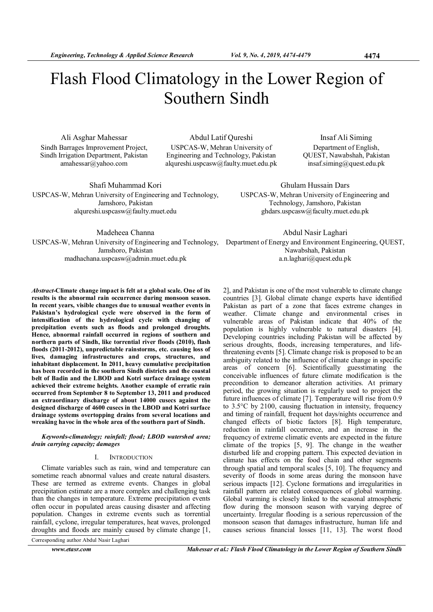# Flash Flood Climatology in the Lower Region of Southern Sindh

Ali Asghar Mahessar Sindh Barrages Improvement Project, Sindh Irrigation Department, Pakistan amahessar@yahoo.com

Abdul Latif Qureshi USPCAS-W, Mehran University of Engineering and Technology, Pakistan alqureshi.uspcasw@faulty.muet.edu.pk

Insaf Ali Siming Department of English, QUEST, Nawabshah, Pakistan insaf.siming@quest.edu.pk

Shafi Muhammad Kori USPCAS-W, Mehran University of Engineering and Technology, Jamshoro, Pakistan alqureshi.uspcasw@faulty.muet.edu

ghdars.uspcasw@faculty.muet.edu.pk

Ghulam Hussain Dars USPCAS-W, Mehran University of Engineering and Technology, Jamshoro, Pakistan

Madeheea Channa Jamshoro, Pakistan madhachana.uspcasw@admin.muet.edu.pk

Abstract-Climate change impact is felt at a global scale. One of its results is the abnormal rain occurrence during monsoon season. In recent years, visible changes due to unusual weather events in Pakistan's hydrological cycle were observed in the form of intensification of the hydrological cycle with changing of precipitation events such as floods and prolonged droughts. Hence, abnormal rainfall occurred in regions of southern and northern parts of Sindh, like torrential river floods (2010), flash floods (2011-2012), unpredictable rainstorms, etc. causing loss of lives, damaging infrastructures and crops, structures, and inhabitant displacement. In 2011, heavy cumulative precipitation has been recorded in the southern Sindh districts and the coastal belt of Badin and the LBOD and Kotri surface drainage system achieved their extreme heights. Another example of erratic rain occurred from September 8 to September 13, 2011 and produced an extraordinary discharge of about 14000 cusecs against the designed discharge of 4600 cusecs in the LBOD and Kotri surface drainage systems overtopping drains from several locations and wreaking havoc in the whole area of the southern part of Sindh.

Keywords-climatology; rainfall; flood; LBOD watershed area; drain carrying capacity; damages

## I. INTRODUCTION

Climate variables such as rain, wind and temperature can sometime reach abnormal values and create natural disasters. These are termed as extreme events. Changes in global precipitation estimate are a more complex and challenging task than the changes in temperature. Extreme precipitation events often occur in populated areas causing disaster and affecting population. Changes in extreme events such as torrential rainfall, cyclone, irregular temperatures, heat waves, prolonged droughts and floods are mainly caused by climate change [1,

Corresponding author Abdul Nasir Laghari

USPCAS-W, Mehran University of Engineering and Technology, Department of Energy and Environment Engineering, QUEST, Abdul Nasir Laghari Nawabshah, Pakistan a.n.laghari@quest.edu.pk

> 2], and Pakistan is one of the most vulnerable to climate change countries [3]. Global climate change experts have identified Pakistan as part of a zone that faces extreme changes in weather. Climate change and environmental crises in vulnerable areas of Pakistan indicate that 40% of the population is highly vulnerable to natural disasters [4]. Developing countries including Pakistan will be affected by serious droughts, floods, increasing temperatures, and lifethreatening events [5]. Climate change risk is proposed to be an ambiguity related to the influence of climate change in specific areas of concern [6]. Scientifically guesstimating the conceivable influences of future climate modification is the precondition to demeanor alteration activities. At primary period, the growing situation is regularly used to project the future influences of climate [7]. Temperature will rise from 0.9 to 3.5°C by 2100, causing fluctuation in intensity, frequency and timing of rainfall, frequent hot days/nights occurrence and changed effects of biotic factors [8]. High temperature, reduction in rainfall occurrence, and an increase in the frequency of extreme climatic events are expected in the future climate of the tropics [5, 9]. The change in the weather disturbed life and cropping pattern. This expected deviation in climate has effects on the food chain and other segments through spatial and temporal scales [5, 10]. The frequency and severity of floods in some areas during the monsoon have serious impacts [12]. Cyclone formations and irregularities in rainfall pattern are related consequences of global warming. Global warming is closely linked to the seasonal atmospheric flow during the monsoon season with varying degree of uncertainty. Irregular flooding is a serious repercussion of the monsoon season that damages infrastructure, human life and causes serious financial losses [11, 13]. The worst flood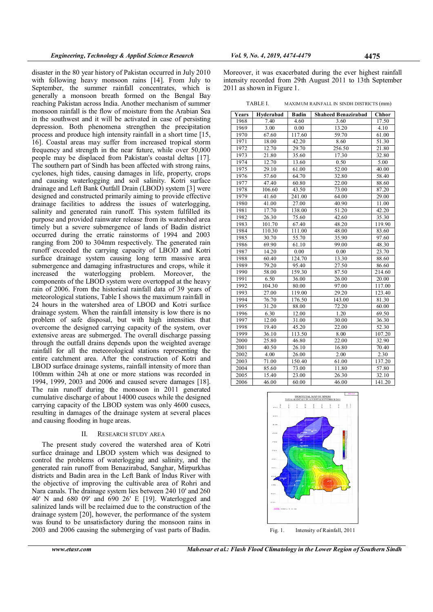disaster in the 80 year history of Pakistan occurred in July 2010 with following heavy monsoon rains [14]. From July to September, the summer rainfall concentrates, which is generally a monsoon breath formed on the Bengal Bay reaching Pakistan across India. Another mechanism of summer monsoon rainfall is the flow of moisture from the Arabian Sea in the southwest and it will be activated in case of persisting depression. Both phenomena strengthen the precipitation process and produce high intensity rainfall in a short time [15, 16]. Coastal areas may suffer from increased tropical storm frequency and strength in the near future, while over 50,000 people may be displaced from Pakistan's coastal deltas [17]. The southern part of Sindh has been affected with strong rains, cyclones, high tides, causing damages in life, property, crops and causing waterlogging and soil salinity. Kotri surface drainage and Left Bank Outfall Drain (LBOD) system [3] were designed and constructed primarily aiming to provide effective drainage facilities to address the issues of waterlogging, salinity and generated rain runoff. This system fulfilled its purpose and provided rainwater release from its watershed area timely but a severe submergence of lands of Badin district occurred during the erratic rainstorms of 1994 and 2003 ranging from 200 to 304mm respectively. The generated rain runoff exceeded the carrying capacity of LBOD and Kotri surface drainage system causing long term massive area submergence and damaging infrastructures and crops, while it increased the waterlogging problem. Moreover, the components of the LBOD system were overtopped at the heavy rain of 2006. From the historical rainfall data of 39 years of meteorological stations, Table I shows the maximum rainfall in 24 hours in the watershed area of LBOD and Kotri surface drainage system. When the rainfall intensity is low there is no problem of safe disposal, but with high intensities that overcome the designed carrying capacity of the system, over extensive areas are submerged. The overall discharge passing through the outfall drains depends upon the weighted average rainfall for all the meteorological stations representing the entire catchment area. After the construction of Kotri and LBOD surface drainage systems, rainfall intensity of more than 100mm within 24h at one or more stations was recorded in 1994, 1999, 2003 and 2006 and caused severe damages [18]. The rain runoff during the monsoon in 2011 generated cumulative discharge of about 14000 cusecs while the designed carrying capacity of the LBOD system was only 4600 cusecs, resulting in damages of the drainage system at several places and causing flooding in huge areas.

## II. RESEARCH STUDY AREA

The present study covered the watershed area of Kotri surface drainage and LBOD system which was designed to control the problems of waterlogging and salinity, and the generated rain runoff from Benazirabad, Sanghar, Mirpurkhas districts and Badin area in the Left Bank of Indus River with the objective of improving the cultivable area of Rohri and Nara canals. The drainage system lies between 240 10' and 260 40' N and 680 09' and 690 26' E [19]. Waterlogged and salinized lands will be reclaimed due to the construction of the drainage system [20], however, the performance of the system was found to be unsatisfactory during the monsoon rains in 2003 and 2006 causing the submerging of vast parts of Badin.

Moreover, it was exacerbated during the ever highest rainfall intensity recorded from 29th August 2011 to 13th September 2011 as shown in Figure 1.

TABLE I. MAXIMUM RAINFALL IN SINDH DISTRICTS (mm)

| Years | Hyderabad | <b>Badin</b> | <b>Shaheed Benazirabad</b> | Chhor  |
|-------|-----------|--------------|----------------------------|--------|
| 1968  | 7.40      | 4.60         | 3.60                       | 17.50  |
| 1969  | 3.00      | 0.00         | 13.20                      | 4.10   |
| 1970  | 67.60     | 117.60       | 59.70                      | 61.00  |
| 1971  | 18.00     | 42.20        | 8.60                       | 51.30  |
| 1972  | 12.70     | 29.70        | 256.50                     | 21.80  |
| 1973  | 21.80     | 35.60        | 17.30                      | 32.80  |
| 1974  | 12.70     | 13.60        | 0.50                       | 5.00   |
| 1975  | 29.10     | 61.00        | 52.00                      | 40.00  |
| 1976  | 57.60     | 64.70        | 32.80                      | 58.40  |
| 1977  | 47.40     | 60.80        | 22.00                      | 88.60  |
| 1978  | 106.60    | 43.50        | 73.00                      | 87.20  |
| 1979  | 41.60     | 241.00       | 64.00                      | 29.00  |
| 1980  | 41.00     | 27.00        | 40.90                      | 11.00  |
| 1981  | 17.70     | 138.00       | 51.20                      | 42.20  |
| 1982  | 26.30     | 75.60        | 42.60                      | 35.30  |
| 1983  | 101.70    | 67.40        | 48.20                      | 119.90 |
| 1984  | 110.30    | 111.00       | 48.00                      | 83.60  |
| 1985  | 30.70     | 55.70        | 35.90                      | 97.60  |
| 1986  | 69.90     | 61.10        | 99.00                      | 48.30  |
| 1987  | 14.20     | 0.00         | 0.00                       | 23.70  |
| 1988  | 60.40     | 124.70       | 13.30                      | 88.60  |
| 1989  | 79.20     | 95.40        | 27.50                      | 86.60  |
| 1990  | 58.00     | 159.30       | 87.50                      | 214.60 |
| 1991  | 6.50      | 36.00        | 26.00                      | 20.00  |
| 1992  | 104.30    | 80.00        | 97.00                      | 117.00 |
| 1993  | 27.00     | 119.00       | 29.20                      | 123.40 |
| 1994  | 76.70     | 176.50       | 143.00                     | 81.30  |
| 1995  | 31.20     | 88.00        | 72.20                      | 60.00  |
| 1996  | 6.30      | 12.00        | 1.20                       | 69.50  |
| 1997  | 12.00     | 31.00        | 30.00                      | 36.30  |
| 1998  | 19.40     | 45.20        | 22.00                      | 52.30  |
| 1999  | 36.10     | 113.50       | 8.00                       | 107.20 |
| 2000  | 25.80     | 46.80        | 22.00                      | 32.90  |
| 2001  | 40.50     | 26.10        | 16.80                      | 70.40  |
| 2002  | 4.00      | 26.00        | 2.00                       | 2.30   |
| 2003  | 71.00     | 150.40       | 61.00                      | 137.20 |
| 2004  | 85.60     | 73.00        | 11.80                      | 57.80  |
| 2005  | 15.40     | 23.00        | 26.30                      | 32.10  |
| 2006  | 46.00     | 60.00        | 46.00                      | 141.20 |

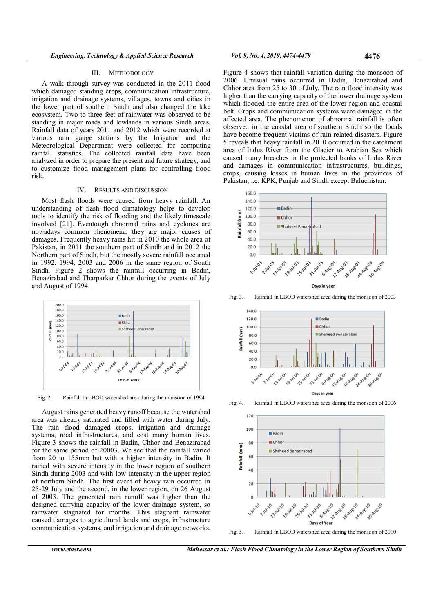#### III. METHODOLOGY

A walk through survey was conducted in the 2011 flood which damaged standing crops, communication infrastructure, irrigation and drainage systems, villages, towns and cities in the lower part of southern Sindh and also changed the lake ecosystem. Two to three feet of rainwater was observed to be standing in major roads and lowlands in various Sindh areas. Rainfall data of years 2011 and 2012 which were recorded at various rain gauge stations by the Irrigation and the Meteorological Department were collected for computing rainfall statistics. The collected rainfall data have been analyzed in order to prepare the present and future strategy, and to customize flood management plans for controlling flood risk.

## IV. RESULTS AND DISCUSSION

Most flash floods were caused from heavy rainfall. An understanding of flash flood climatology helps to develop tools to identify the risk of flooding and the likely timescale involved [21]. Eventough abnormal rains and cyclones are nowadays common phenomena, they are major causes of damages. Frequently heavy rains hit in 2010 the whole area of Pakistan, in 2011 the southern part of Sindh and in 2012 the Northern part of Sindh, but the mostly severe rainfall occurred in 1992, 1994, 2003 and 2006 in the same region of South Sindh. Figure 2 shows the rainfall occurring in Badin, Benazirabad and Tharparkar Chhor during the events of July and August of 1994.



Fig. 2. Rainfall in LBOD watershed area during the monsoon of 1994

August rains generated heavy runoff because the watershed area was already saturated and filled with water during July. The rain flood damaged crops, irrigation and drainage systems, road infrastructures, and cost many human lives. Figure 3 shows the rainfall in Badin, Chhor and Benazirabad for the same period of 20003. We see that the rainfall varied from 20 to 155mm but with a higher intensity in Badin. It rained with severe intensity in the lower region of southern Sindh during 2003 and with low intensity in the upper region of northern Sindh. The first event of heavy rain occurred in 25-29 July and the second, in the lower region, on 26 August of 2003. The generated rain runoff was higher than the designed carrying capacity of the lower drainage system, so rainwater stagnated for months. This stagnant rainwater caused damages to agricultural lands and crops, infrastructure communication systems, and irrigation and drainage networks.

Figure 4 shows that rainfall variation during the monsoon of 2006. Unusual rains occurred in Badin, Benazirabad and Chhor area from 25 to 30 of July. The rain flood intensity was higher than the carrying capacity of the lower drainage system which flooded the entire area of the lower region and coastal belt. Crops and communication systems were damaged in the affected area. The phenomenon of abnormal rainfall is often observed in the coastal area of southern Sindh so the locals have become frequent victims of rain related disasters. Figure 5 reveals that heavy rainfall in 2010 occurred in the catchment area of Indus River from the Glacier to Arabian Sea which caused many breaches in the protected banks of Indus River and damages in communication infrastructures, buildings, crops, causing losses in human lives in the provinces of Pakistan, i.e. KPK, Punjab and Sindh except Baluchistan.



Fig. 3. Rainfall in LBOD watershed area during the monsoon of 2003



Fig. 4. Rainfall in LBOD watershed area during the monsoon of 2006



Fig. 5. Rainfall in LBOD watershed area during the monsoon of 2010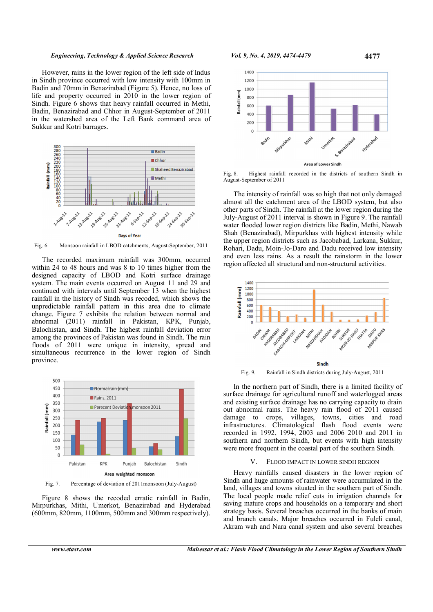However, rains in the lower region of the left side of Indus in Sindh province occurred with low intensity with 100mm in Badin and 70mm in Benazirabad (Figure 5). Hence, no loss of life and property occurred in 2010 in the lower region of Sindh. Figure 6 shows that heavy rainfall occurred in Methi, Badin, Benazirabad and Chhor in August-September of 2011 in the watershed area of the Left Bank command area of Sukkur and Kotri barrages.



Fig. 6. Monsoon rainfall in LBOD catchments, August-September, 2011

The recorded maximum rainfall was 300mm, occurred within 24 to 48 hours and was 8 to 10 times higher from the designed capacity of LBOD and Kotri surface drainage system. The main events occurred on August 11 and 29 and continued with intervals until September 13 when the highest rainfall in the history of Sindh was recoded, which shows the unpredictable rainfall pattern in this area due to climate change. Figure 7 exhibits the relation between normal and abnormal (2011) rainfall in Pakistan, KPK, Punjab, Balochistan, and Sindh. The highest rainfall deviation error among the provinces of Pakistan was found in Sindh. The rain floods of 2011 were unique in intensity, spread and simultaneous recurrence in the lower region of Sindh province.



Fig. 7. Percentage of deviation of 2011monsoon (July-August)

Figure 8 shows the recoded erratic rainfall in Badin, Mirpurkhas, Mithi, Umerkot, Benazirabad and Hyderabad (600mm, 820mm, 1100mm, 500mm and 300mm respectively).



Fig. 8. Highest rainfall recorded in the districts of southern Sindh in August-September of 2011

The intensity of rainfall was so high that not only damaged almost all the catchment area of the LBOD system, but also other parts of Sindh. The rainfall at the lower region during the July-August of 2011 interval is shown in Figure 9. The rainfall water flooded lower region districts like Badin, Methi, Nawab Shah (Benazirabad), Mirpurkhas with highest intensity while the upper region districts such as Jacobabad, Larkana, Sukkur, Rohari, Dadu, Moin-Jo-Daro and Dadu received low intensity and even less rains. As a result the rainstorm in the lower region affected all structural and non-structural activities.



Fig. 9. Rainfall in Sindh districts during July-August, 2011

In the northern part of Sindh, there is a limited facility of surface drainage for agricultural runoff and waterlogged areas and existing surface drainage has no carrying capacity to drain out abnormal rains. The heavy rain flood of 2011 caused damage to crops, villages, towns, cities and road infrastructures. Climatological flash flood events were recorded in 1992, 1994, 2003 and 2006 2010 and 2011 in southern and northern Sindh, but events with high intensity were more frequent in the coastal part of the southern Sindh.

#### V. FLOOD IMPACT IN LOWER SINDH REGION

Heavy rainfalls caused disasters in the lower region of Sindh and huge amounts of rainwater were accumulated in the land, villages and towns situated in the southern part of Sindh. The local people made relief cuts in irrigation channels for saving mature crops and households on a temporary and short strategy basis. Several breaches occurred in the banks of main and branch canals. Major breaches occurred in Fuleli canal, Akram wah and Nara canal system and also several breaches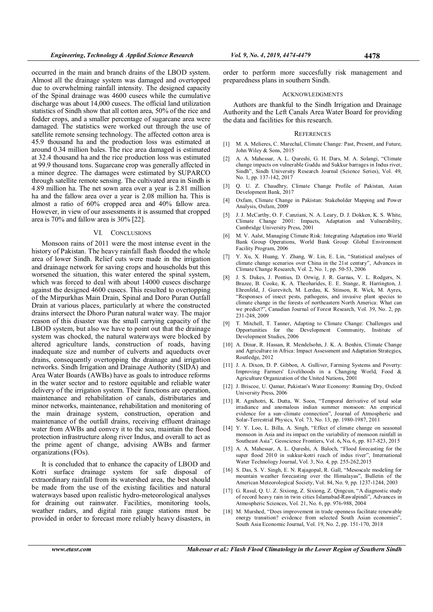occurred in the main and branch drains of the LBOD system. Almost all the drainage system was damaged and overtopped due to overwhelming rainfall intensity. The designed capacity of the Spinal drainage was 4600 cusecs while the cumulative discharge was about 14,000 cusecs. The official land utilization statistics of Sindh show that all cotton area, 50% of the rice and fodder crops, and a smaller percentage of sugarcane area were damaged. The statistics were worked out through the use of satellite remote sensing technology. The affected cotton area is 45.9 thousand ha and the production loss was estimated at around 0.34 million bales. The rice area damaged is estimated at 32.4 thousand ha and the rice production loss was estimated at 99.9 thousand tons. Sugarcane crop was generally affected in a minor degree. The damages were estimated by SUPARCO through satellite remote sensing. The cultivated area in Sindh is 4.89 million ha. The net sown area over a year is 2.81 million ha and the fallow area over a year is 2.08 million ha. This is almost a ratio of 60% cropped area and 40% fallow area. However, in view of our assessments it is assumed that cropped area is 70% and fallow area is 30% [22].

### VI. CONCLUSIONS

Monsoon rains of 2011 were the most intense event in the history of Pakistan. The heavy rainfall flash flooded the whole area of lower Sindh. Relief cuts were made in the irrigation and drainage network for saving crops and households but this worsened the situation, this water entered the spinal system, which was forced to deal with about 14000 cusecs discharge against the designed 4600 cusecs. This resulted to overtopping of the Mirpurkhas Main Drain, Spinal and Doro Puran Outfall Drain at various places, particularly at where the constructed drains intersect the Dhoro Puran natural water way. The major reason of this disaster was the small carrying capacity of the LBOD system, but also we have to point out that the drainage system was chocked, the natural waterways were blocked by altered agriculture lands, construction of roads, having inadequate size and number of culverts and aqueducts over drains, consequently overtopping the drainage and irrigation networks. Sindh Irrigation and Drainage Authority (SIDA) and Area Water Boards (AWBs) have as goals to introduce reforms in the water sector and to restore equitable and reliable water delivery of the irrigation system. Their functions are operation, maintenance and rehabilitation of canals, distributaries and minor networks, maintenance, rehabilitation and monitoring of the main drainage system, construction, operation and maintenance of the outfall drains, receiving effluent drainage water from AWBs and convey it to the sea, maintain the flood protection infrastructure along river Indus, and overall to act as the prime agent of change, advising AWBs and farmer organizations (FOs).

It is concluded that to enhance the capacity of LBOD and Kotri surface drainage system for safe disposal of extraordinary rainfall from its watershed area, the best should be made from the use of the existing facilities and natural waterways based upon realistic hydro-meteorological analyses for draining out rainwater. Facilities, monitoring tools, weather radars, and digital rain gauge stations must be provided in order to forecast more reliably heavy disasters, in

#### ACKNOWLEDGMENTS

Authors are thankful to the Sindh Irrigation and Drainage Authority and the Left Canals Area Water Board for providing the data and facilities for this research.

#### **REFERENCES**

- [1] M. A. Melieres, C. Marechal, Climate Change: Past, Present, and Future, John Wiley & Sons, 2015
- [2] A. A. Mahessar, A. L. Qureshi, G. H. Dars, M. A. Solangi, "Climate change impacts on vulnerable Guddu and Sukkur barrages in Indus river, Sindh", Sindh University Research Journal (Science Series), Vol. 49, No. 1, pp. 137-142, 2017
- [3] Q. U. Z. Chaudhry, Climate Change Profile of Pakistan, Asian Development Bank, 2017
- [4] Oxfam, Climate Change in Pakistan: Stakeholder Mapping and Power Analysis, Oxfam, 2009
- [5] J. J. McCarthy, O. F. Canziani, N. A. Leary, D. J. Dokken, K. S. White, Climate Change 2001: Impacts, Adaptation and Vulnerability, Cambridge University Press, 2001
- [6] M. V. Aalst, Managing Climate Risk: Integrating Adaptation into World Bank Group Operations, World Bank Group: Global Environment Facility Program, 2006
- [7] Y. Xu, X. Huang, Y. Zhang, W. Lin, E. Lin, "Statistical analyses of climate change scenarios over China in the 21st century", Advances in Climate Change Research, Vol. 2, No. 1, pp. 50-53, 2006
- [8] J. S. Dukes, J. Pontius, D. Orwig, J. R. Garnas, V. L. Rodgers, N. Brazee, B. Cooke, K. A. Theoharides, E. E. Stange, R. Harrington, J. Ehrenfeld, J. Gurevitch, M. Lerdau, K. Stinson, R. Wick, M. Ayres, "Responses of insect pests, pathogens, and invasive plant species to climate change in the forests of northeastern North America: What can we predict?", Canadian Journal of Forest Research, Vol. 39, No. 2, pp. 231-248, 2009
- [9] T. Mitchell, T. Tanner, Adapting to Climate Change: Challenges and Opportunities for the Development Community, Institute of Development Studies, 2006
- [10] A. Dinar, R. Hassan, R. Mendelsohn, J. K. A. Benhin, Climate Change and Agriculture in Africa: Impact Assessment and Adaptation Strategies, Routledge, 2012
- [11] J. A. Dixon, D. P. Gibbon, A. Gulliver, Farming Systems and Poverty: Improving Farmers' Livelihoods in a Changing World, Food & Agriculture Organization of the United Nations, 2001
- [12] J. Briscoe, U. Qamar, Pakistan's Water Economy: Running Dry, Oxford University Press, 2006
- [13] R. Agnihotri, K. Dutta, W. Soon, "Temporal derivative of total solar irradiance and anomalous indian summer monsoon: An empirical evidence for a sun–climate connection", Journal of Atmospheric and Solar-Terrestrial Physics, Vol. 73, No. 13, pp. 1980-1987, 2011
- [14] Y. Y. Loo, L. Billa, A. Singh, "Effect of climate change on seasonal monsoon in Asia and its impact on the variability of monsoon rainfall in Southeast Asia", Geoscience Frontiers, Vol. 6, No. 6, pp. 817-823, 2015
- [15] A. A. Mahessar, A. L. Qureshi, A. Baloch, "Flood forecasting for the super flood 2010 in sukkur-kotri reach of indus river", International Water Technology Journal, Vol. 3, No. 4, pp. 255-262,2015
- [16] S. Das, S. V. Singh, E. N. Rajagopal, R. Gall, "Mesoscale modeling for mountain weather forecasting over the Himalayas", Bulletin of the American Meteorological Society, Vol. 84, No. 9, pp. 1237-1244, 2003
- [17] G. Rasul, Q. U. Z. Sixiong, Z. Sixiong, Z. Qingcun, "A diagnostic study of record heavy rain in twin cities Islamabad-Rawalpindi", Advances in Atmospheric Sciences, Vol. 21, No. 6, pp. 976-988, 2004
- [18] M. Murshed, "Does improvement in trade openness facilitate renewable energy transition? evidence from selected South Asian economies", South Asia Economic Journal, Vol. 19, No. 2, pp. 151-170, 2018